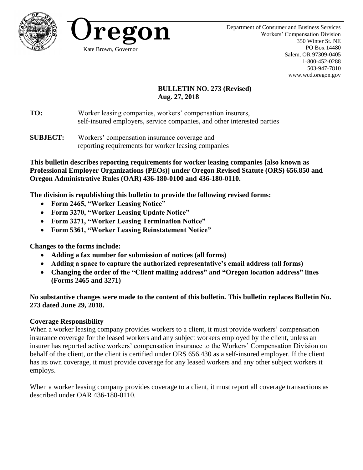



# **BULLETIN NO. 273 (Revised) Aug. 27, 2018**

**TO:** Worker leasing companies, workers' compensation insurers, self-insured employers, service companies, and other interested parties

**SUBJECT:** Workers' compensation insurance coverage and reporting requirements for worker leasing companies

**This bulletin describes reporting requirements for worker leasing companies [also known as Professional Employer Organizations (PEOs)] under Oregon Revised Statute (ORS) 656.850 and Oregon Administrative Rules (OAR) 436-180-0100 and 436-180-0110.** 

**The division is republishing this bulletin to provide the following revised forms:**

- **Form 2465, "Worker Leasing Notice"**
- **Form 3270, "Worker Leasing Update Notice"**
- **Form 3271, "Worker Leasing Termination Notice"**
- **Form 5361, "Worker Leasing Reinstatement Notice"**

**Changes to the forms include:**

- **Adding a fax number for submission of notices (all forms)**
- **Adding a space to capture the authorized representative's email address (all forms)**
- **Changing the order of the "Client mailing address" and "Oregon location address" lines (Forms 2465 and 3271)**

# **No substantive changes were made to the content of this bulletin. This bulletin replaces Bulletin No. 273 dated June 29, 2018.**

# **Coverage Responsibility**

When a worker leasing company provides workers to a client, it must provide workers' compensation insurance coverage for the leased workers and any subject workers employed by the client, unless an insurer has reported active workers' compensation insurance to the Workers' Compensation Division on behalf of the client, or the client is certified under ORS 656.430 as a self-insured employer. If the client has its own coverage, it must provide coverage for any leased workers and any other subject workers it employs.

When a worker leasing company provides coverage to a client, it must report all coverage transactions as described under OAR 436-180-0110.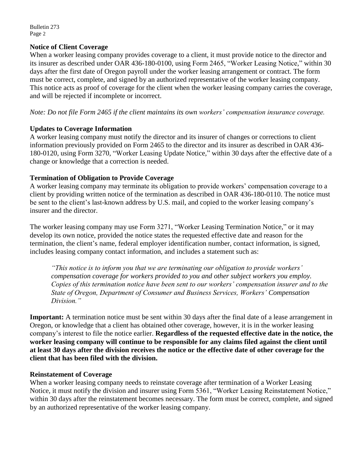Bulletin 273 Page 2

### **Notice of Client Coverage**

When a worker leasing company provides coverage to a client, it must provide notice to the director and its insurer as described under OAR 436-180-0100, using Form 2465, "Worker Leasing Notice," within 30 days after the first date of Oregon payroll under the worker leasing arrangement or contract. The form must be correct, complete, and signed by an authorized representative of the worker leasing company. This notice acts as proof of coverage for the client when the worker leasing company carries the coverage, and will be rejected if incomplete or incorrect.

*Note: Do not file Form 2465 if the client maintains its own workers' compensation insurance coverage.* 

## **Updates to Coverage Information**

A worker leasing company must notify the director and its insurer of changes or corrections to client information previously provided on Form 2465 to the director and its insurer as described in OAR 436- 180-0120, using Form 3270, "Worker Leasing Update Notice," within 30 days after the effective date of a change or knowledge that a correction is needed.

## **Termination of Obligation to Provide Coverage**

A worker leasing company may terminate its obligation to provide workers' compensation coverage to a client by providing written notice of the termination as described in OAR 436-180-0110. The notice must be sent to the client's last-known address by U.S. mail, and copied to the worker leasing company's insurer and the director.

The worker leasing company may use Form 3271, "Worker Leasing Termination Notice," or it may develop its own notice, provided the notice states the requested effective date and reason for the termination, the client's name, federal employer identification number, contact information, is signed, includes leasing company contact information, and includes a statement such as:

*"This notice is to inform you that we are terminating our obligation to provide workers' compensation coverage for workers provided to you and other subject workers you employ. Copies of this termination notice have been sent to our workers' compensation insurer and to the State of Oregon, Department of Consumer and Business Services, Workers' Compensation Division."*

**Important:** A termination notice must be sent within 30 days after the final date of a lease arrangement in Oregon, or knowledge that a client has obtained other coverage, however, it is in the worker leasing company's interest to file the notice earlier. **Regardless of the requested effective date in the notice, the worker leasing company will continue to be responsible for any claims filed against the client until at least 30 days after the division receives the notice or the effective date of other coverage for the client that has been filed with the division.**

#### **Reinstatement of Coverage**

When a worker leasing company needs to reinstate coverage after termination of a Worker Leasing Notice, it must notify the division and insurer using Form 5361, "Worker Leasing Reinstatement Notice," within 30 days after the reinstatement becomes necessary. The form must be correct, complete, and signed by an authorized representative of the worker leasing company.